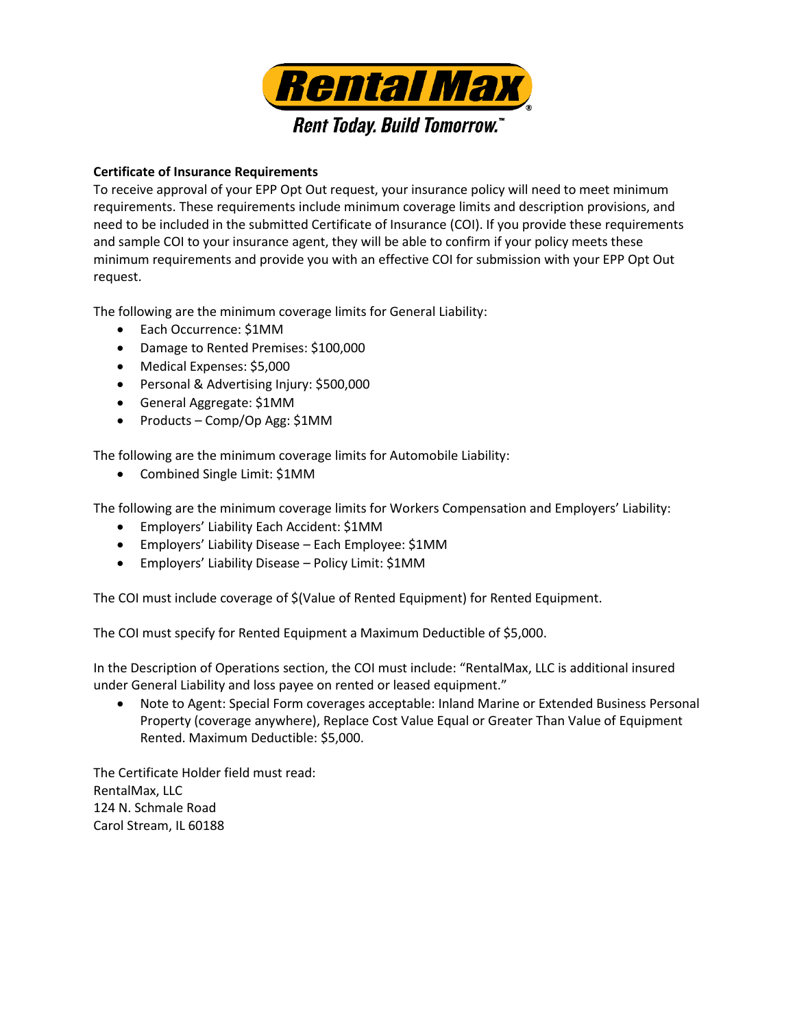

## **Certificate of Insurance Requirements**

To receive approval of your EPP Opt Out request, your insurance policy will need to meet minimum requirements. These requirements include minimum coverage limits and description provisions, and need to be included in the submitted Certificate of Insurance (COI). If you provide these requirements and sample COI to your insurance agent, they will be able to confirm if your policy meets these minimum requirements and provide you with an effective COI for submission with your EPP Opt Out request.

The following are the minimum coverage limits for General Liability:

- Each Occurrence: \$1MM
- Damage to Rented Premises: \$100,000
- Medical Expenses: \$5,000
- Personal & Advertising Injury: \$500,000
- General Aggregate: \$1MM
- Products Comp/Op Agg: \$1MM

The following are the minimum coverage limits for Automobile Liability:

• Combined Single Limit: \$1MM

The following are the minimum coverage limits for Workers Compensation and Employers' Liability:

- Employers' Liability Each Accident: \$1MM
- Employers' Liability Disease Each Employee: \$1MM
- Employers' Liability Disease Policy Limit: \$1MM

The COI must include coverage of \$(Value of Rented Equipment) for Rented Equipment.

The COI must specify for Rented Equipment a Maximum Deductible of \$5,000.

In the Description of Operations section, the COI must include: "RentalMax, LLC is additional insured under General Liability and loss payee on rented or leased equipment."

 Note to Agent: Special Form coverages acceptable: Inland Marine or Extended Business Personal Property (coverage anywhere), Replace Cost Value Equal or Greater Than Value of Equipment Rented. Maximum Deductible: \$5,000.

The Certificate Holder field must read: RentalMax, LLC 124 N. Schmale Road Carol Stream, IL 60188